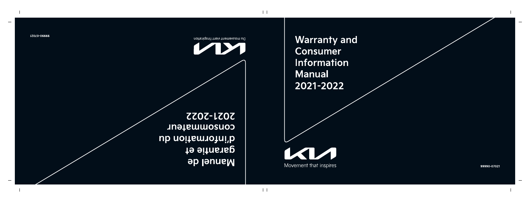**Warranty and Consumer Information Manual** 2021-2022



Movement that inspires

99990-07021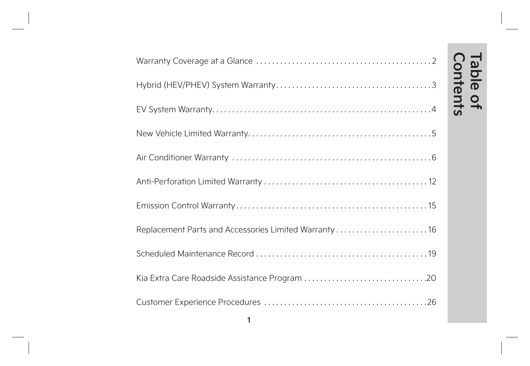| Replacement Parts and Accessories Limited Warranty16 |
|------------------------------------------------------|
|                                                      |
|                                                      |
|                                                      |

# **Contents Table of**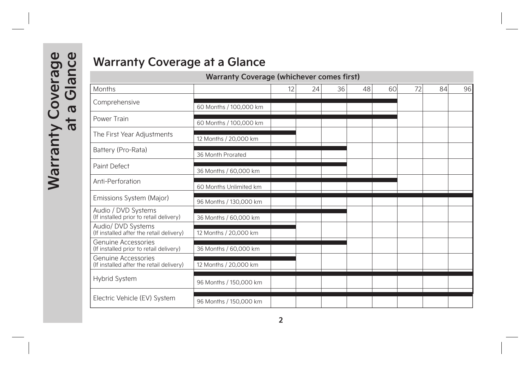## **Warranty Coverage at a Glance**

#### **Warranty Coverage (whichever comes first)**

| Months                                                          |                        | 12 | 24 | 36 | 48 | 60 | 72 | 84 | 96 |
|-----------------------------------------------------------------|------------------------|----|----|----|----|----|----|----|----|
| Comprehensive                                                   | 60 Months / 100,000 km |    |    |    |    |    |    |    |    |
| Power Train                                                     | 60 Months / 100,000 km |    |    |    |    |    |    |    |    |
| The First Year Adjustments                                      | 12 Months / 20,000 km  |    |    |    |    |    |    |    |    |
| Battery (Pro-Rata)                                              | 36 Month Prorated      |    |    |    |    |    |    |    |    |
| Paint Defect                                                    | 36 Months / 60,000 km  |    |    |    |    |    |    |    |    |
| Anti-Perforation                                                | 60 Months Unlimited km |    |    |    |    |    |    |    |    |
| Emissions System (Major)                                        | 96 Months / 130,000 km |    |    |    |    |    |    |    |    |
| Audio / DVD Systems<br>(If installed prior to retail delivery)  | 36 Months / 60,000 km  |    |    |    |    |    |    |    |    |
| Audio/ DVD Systems<br>(If installed after the retail delivery)  | 12 Months / 20,000 km  |    |    |    |    |    |    |    |    |
| Genuine Accessories<br>(If installed prior to retail delivery)  | 36 Months / 60,000 km  |    |    |    |    |    |    |    |    |
| Genuine Accessories<br>(If installed after the retail delivery) | 12 Months / 20,000 km  |    |    |    |    |    |    |    |    |
| <b>Hybrid System</b>                                            | 96 Months / 150,000 km |    |    |    |    |    |    |    |    |
| Electric Vehicle (EV) System                                    | 96 Months / 150,000 km |    |    |    |    |    |    |    |    |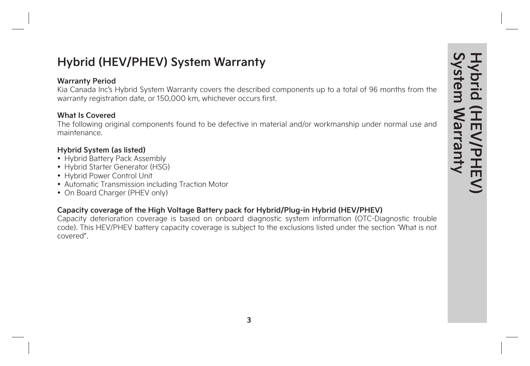## **Hybrid (HEV/PHEV) System Warranty**

#### **Warranty Period**

Kia Canada Inc's Hybrid System Warranty covers the described components up to a total of 96 months from the warranty registration date, or 150,000 km, whichever occurs first.

#### **What Is Covered**

The following original components found to be defective in material and/or workmanship under normal use and maintenance.

#### **Hybrid System (as listed)**

- Hybrid Battery Pack Assembly
- Hybrid Starter Generator (HSG)
- Hybrid Power Control Unit
- Automatic Transmission including Traction Motor
- On Board Charger (PHEV only)

### **Capacity coverage of the High Voltage Battery pack for Hybrid/Plug-in Hybrid (HEV/PHEV)**

Capacity deterioration coverage is based on onboard diagnostic system information (OTC-Diagnostic trouble code). This HEV/PHEV battery capacity coverage is subject to the exclusions listed under the section 'What is not covered".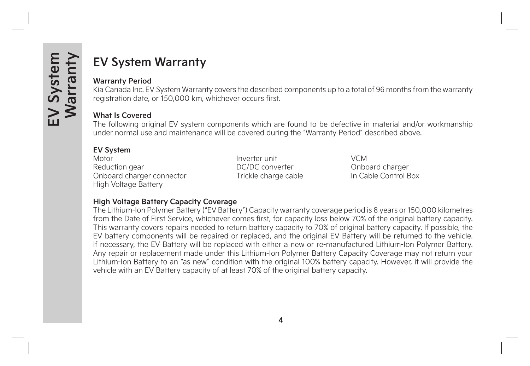## **EV System Warranty**

#### **Warranty Period**

Kia Canada Inc. EV System Warranty covers the described components up to a total of 96 months from the warranty registration date, or 150,000 km, whichever occurs first.

#### **What Is Covered**

The following original EV system components which are found to be defective in material and/or workmanship under normal use and maintenance will be covered during the "Warranty Period" described above.

#### **EV System**

Motor **Inverter unit** VCM Reduction gear The CONSTREET CONVerter Converter Composed Charger Onboard charger connector Trickle charge cable In Cable Control Box High Voltage Battery

#### **High Voltage Battery Capacity Coverage**

The Lithium-Ion Polymer Battery ("EV Battery") Capacity warranty coverage period is 8 years or 150,000 kilometres from the Date of First Service, whichever comes first, for capacity loss below 70% of the original battery capacity. This warranty covers repairs needed to return battery capacity to 70% of original battery capacity. If possible, the EV battery components will be repaired or replaced, and the original EV Battery will be returned to the vehicle. If necessary, the EV Battery will be replaced with either a new or re-manufactured Lithium-Ion Polymer Battery. Any repair or replacement made under this Lithium-Ion Polymer Battery Capacity Coverage may not return your Lithium-Ion Battery to an "as new" condition with the original 100% battery capacity. However, it will provide the vehicle with an EV Battery capacity of at least 70% of the original battery capacity.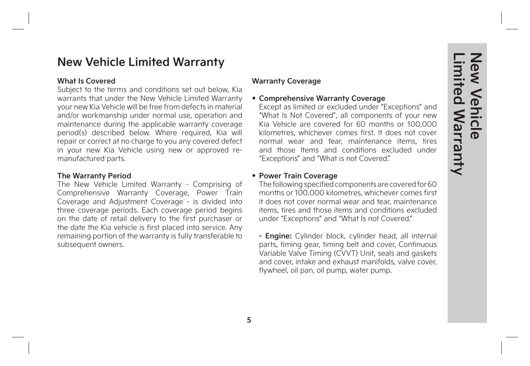## **New Vehicle Limited Warranty**

#### **What Is Covered**

Subject to the terms and conditions set out below, Kia warrants that under the New Vehicle Limited Warranty your new Kia Vehicle will be free from defects in material and/or workmanship under normal use, operation and maintenance during the applicable warranty coverage period(s) described below. Where required, Kia will repair or correct at no charge to you any covered defect in your new Kia Vehicle using new or approved remanufactured parts.

#### **The Warranty Period**

The New Vehicle Limited Warranty - Comprising of Comprehensive Warranty Coverage, Power Train Coverage and Adjustment Coverage - is divided into three coverage periods. Each coverage period begins on the date of retail delivery to the first purchaser or the date the Kia vehicle is first placed into service. Any remaining portion of the warranty is fully transferable to subsequent owners.

#### **Warranty Coverage**

#### **• Comprehensive Warranty Coverage**

Except as limited or excluded under "Exceptions" and "What Is Not Covered", all components of your new Kia Vehicle are covered for 60 months or 100,000 kilometres, whichever comes first. It does not cover normal wear and tear, maintenance items, tires and those Items and conditions excluded under "Exceptions" and "What is not Covered."

#### **• Power Train Coverage**

The following specified components are covered for 60 months or 100,000 kilometres, whichever comes first it does not cover normal wear and tear, maintenance items, tires and those items and conditions excluded under "Exceptions" and "What Is not Covered."

**- Engine:** Cylinder block, cylinder head, all internal parts, timing gear, timing belt and cover, Continuous Variable Valve Timing (CVVT) Unit, seals and gaskets and cover, intake and exhaust manifolds, valve cover, flywheel, oil pan, oil pump, water pump.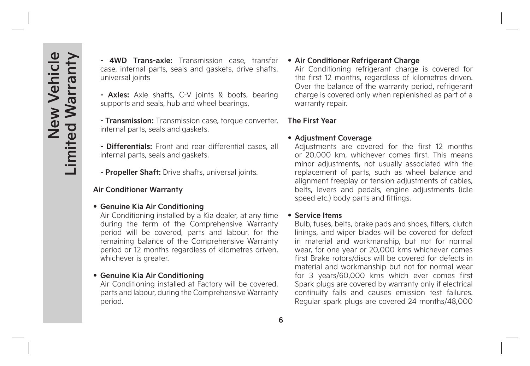**- 4WD Trans-axle:** Transmission case, transfer case, internal parts, seals and gaskets, drive shafts, universal joints

**- Axles:** Axle shafts, C-V joints & boots, bearing supports and seals, hub and wheel bearings,

**- Transmission:** Transmission case, torque converter, internal parts, seals and gaskets.

**- Differentials:** Front and rear differential cases, all internal parts, seals and gaskets.

**- Propeller Shaft:** Drive shafts, universal joints.

#### **Air Conditioner Warranty**

#### **• Genuine Kia Air Conditioning**

Air Conditioning installed by a Kia dealer, at any time during the term of the Comprehensive Warranty period will be covered, parts and labour, for the remaining balance of the Comprehensive Warranty period or 12 months regardless of kilometres driven, whichever is greater.

#### **• Genuine Kia Air Conditioning**

Air Conditioning installed at Factory will be covered, parts and labour, during the Comprehensive Warranty period.

#### **• Air Conditioner Refrigerant Charge**

Air Conditioning refrigerant charge is covered for the first 12 months, regardless of kilometres driven. Over the balance of the warranty period, refrigerant charge is covered only when replenished as part of a warranty repair.

#### **The First Year**

#### **• Adjustment Coverage**

Adjustments are covered for the first 12 months or 20,000 km, whichever comes first. This means minor adjustments, not usually associated with the replacement of parts, such as wheel balance and alignment freeplay or tension adjustments of cables, belts, levers and pedals, engine adjustments (idle speed etc.) body parts and fittings.

#### **• Service Items**

Bulb, fuses, belts, brake pads and shoes, filters, clutch linings, and wiper blades will be covered for defect in material and workmanship, but not for normal wear, for one year or 20,000 kms whichever comes first Brake rotors/discs will be covered for defects in material and workmanship but not for normal wear for 3 years/60,000 kms which ever comes first Spark plugs are covered by warranty only if electrical continuity fails and causes emission test failures. Regular spark plugs are covered 24 months/48,000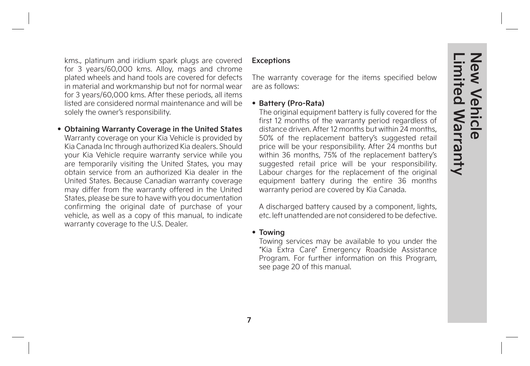kms., platinum and iridium spark plugs are covered for 3 years/60,000 kms. Alloy, mags and chrome plated wheels and hand tools are covered for defects in material and workmanship but not for normal wear for 3 years/60,000 kms. After these periods, all items listed are considered normal maintenance and will be solely the owner's responsibility.

**• Obtaining Warranty Coverage in the United States**

Warranty coverage on your Kia Vehicle is provided by Kia Canada Inc through authorized Kia dealers. Should your Kia Vehicle require warranty service while you are temporarily visiting the United States, you may obtain service from an authorized Kia dealer in the United States. Because Canadian warranty coverage may differ from the warranty offered in the United States, please be sure to have with you documentation confirming the original date of purchase of your vehicle, as well as a copy of this manual, to indicate warranty coverage to the U.S. Dealer.

#### **Exceptions**

The warranty coverage for the items specified below are as follows:

#### **• Battery (Pro-Rata)**

The original equipment battery is fully covered for the first 12 months of the warranty period regardless of distance driven. After 12 months but within 24 months, 50% of the replacement battery's suggested retail price will be your responsibility. After 24 months but within 36 months, 75% of the replacement battery's suggested retail price will be your responsibility. Labour charges for the replacement of the original equipment battery during the entire 36 months warranty period are covered by Kia Canada.

A discharged battery caused by a component, lights, etc. left unattended are not considered to be defective.

#### **• Towing**

Towing services may be available to you under the "Kia Extra Care" Emergency Roadside Assistance Program. For further information on this Program, see page 20 of this manual.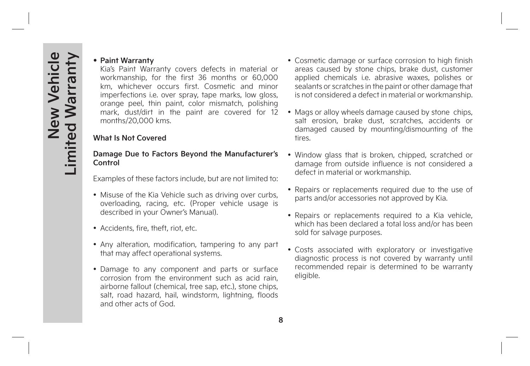#### **• Paint Warranty**

Kia's Paint Warranty covers defects in material or workmanship, for the first 36 months or 60,000 km, whichever occurs first. Cosmetic and minor imperfections i.e. over spray, tape marks, low gloss, orange peel, thin paint, color mismatch, polishing mark, dust/dirt in the paint are covered for 12 months/20,000 kms.

#### **What Is Not Covered**

#### **Damage Due to Factors Beyond the Manufacturer's Control**

Examples of these factors include, but are not limited to:

- Misuse of the Kia Vehicle such as driving over curbs, overloading, racing, etc. (Proper vehicle usage is described in your Owner's Manual).
- Accidents, fire, theft, riot, etc.
- Any alteration, modification, tampering to any part that may affect operational systems.
- Damage to any component and parts or surface corrosion from the environment such as acid rain, airborne fallout (chemical, tree sap, etc.), stone chips, salt, road hazard, hail, windstorm, lightning, floods and other acts of God.
- Cosmetic damage or surface corrosion to high finish areas caused by stone chips, brake dust, customer applied chemicals i.e. abrasive waxes, polishes or sealants or scratches in the paint or other damage that is not considered a defect in material or workmanship.
- Mags or alloy wheels damage caused by stone chips, salt erosion, brake dust, scratches, accidents or damaged caused by mounting/dismounting of the tires.
- Window glass that is broken, chipped, scratched or damage from outside influence is not considered a defect in material or workmanship.
- Repairs or replacements required due to the use of parts and/or accessories not approved by Kia.
- Repairs or replacements required to a Kia vehicle, which has been declared a total loss and/or has been sold for salvage purposes.
- Costs associated with exploratory or investigative diagnostic process is not covered by warranty until recommended repair is determined to be warranty eligible.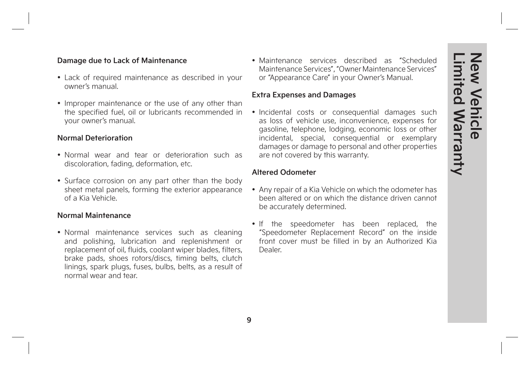#### **Damage due to Lack of Maintenance**

- Lack of required maintenance as described in your owner's manual.
- Improper maintenance or the use of any other than the specified fuel, oil or lubricants recommended in your owner's manual.

#### **Normal Deterioration**

- Normal wear and tear or deterioration such as discoloration, fading, deformation, etc.
- Surface corrosion on any part other than the body sheet metal panels, forming the exterior appearance of a Kia Vehicle.

#### **Normal Maintenance**

• Normal maintenance services such as cleaning and polishing, lubrication and replenishment or replacement of oil, fluids, coolant wiper blades, filters, brake pads, shoes rotors/discs, timing belts, clutch linings, spark plugs, fuses, bulbs, belts, as a result of normal wear and tear.

• Maintenance services described as "Scheduled Maintenance Services", "Owner Maintenance Services" or "Appearance Care" in your Owner's Manual.

#### **Extra Expenses and Damages**

• Incidental costs or consequential damages such as loss of vehicle use, inconvenience, expenses for gasoline, telephone, lodging, economic loss or other incidental, special, consequential or exemplary damages or damage to personal and other properties are not covered by this warranty.

#### **Altered Odometer**

- Any repair of a Kia Vehicle on which the odometer has been altered or on which the distance driven cannot be accurately determined.
- If the speedometer has been replaced, the "Speedometer Replacement Record" on the inside front cover must be filled in by an Authorized Kia Dealer.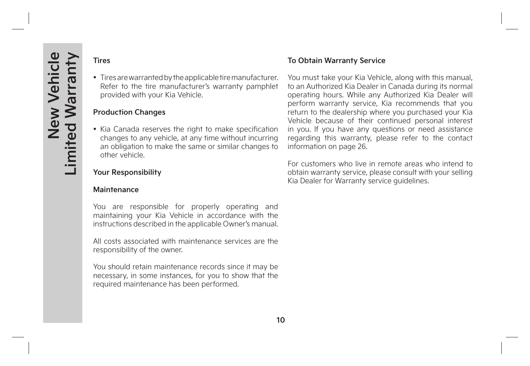#### **Tires**

• Tires are warranted by the applicable tire manufacturer. Refer to the tire manufacturer's warranty pamphlet provided with your Kia Vehicle.

#### **Production Changes**

• Kia Canada reserves the right to make specification changes to any vehicle, at any time without incurring an obligation to make the same or similar changes to other vehicle.

#### **Your Responsibility**

#### **Maintenance**

You are responsible for properly operating and maintaining your Kia Vehicle in accordance with the instructions described in the applicable Owner's manual.

All costs associated with maintenance services are the responsibility of the owner.

You should retain maintenance records since it may be necessary, in some instances, for you to show that the required maintenance has been performed.

#### **To Obtain Warranty Service**

You must take your Kia Vehicle, along with this manual, to an Authorized Kia Dealer in Canada during its normal operating hours. While any Authorized Kia Dealer will perform warranty service, Kia recommends that you return to the dealership where you purchased your Kia Vehicle because of their continued personal interest in you. If you have any questions or need assistance regarding this warranty, please refer to the contact information on page 26.

For customers who live in remote areas who intend to obtain warranty service, please consult with your selling Kia Dealer for Warranty service guidelines.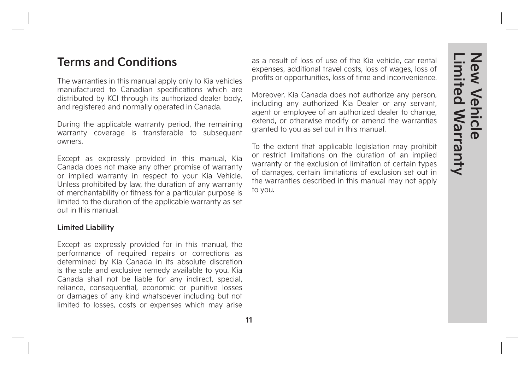## **Terms and Conditions**

The warranties in this manual apply only to Kia vehicles manufactured to Canadian specifications which are distributed by KCI through its authorized dealer body, and registered and normally operated in Canada.

During the applicable warranty period, the remaining warranty coverage is transferable to subsequent owners.

Except as expressly provided in this manual, Kia Canada does not make any other promise of warranty or implied warranty in respect to your Kia Vehicle. Unless prohibited by law, the duration of any warranty of merchantability or fitness for a particular purpose is limited to the duration of the applicable warranty as set out in this manual.

#### **Limited Liability**

Except as expressly provided for in this manual, the performance of required repairs or corrections as determined by Kia Canada in its absolute discretion is the sole and exclusive remedy available to you. Kia Canada shall not be liable for any indirect, special, reliance, consequential, economic or punitive losses or damages of any kind whatsoever including but not limited to losses, costs or expenses which may arise

as a result of loss of use of the Kia vehicle, car rental expenses, additional travel costs, loss of wages, loss of profits or opportunities, loss of time and inconvenience.

Moreover, Kia Canada does not authorize any person, including any authorized Kia Dealer or any servant, agent or employee of an authorized dealer to change, extend, or otherwise modify or amend the warranties granted to you as set out in this manual.

To the extent that applicable legislation may prohibit or restrict limitations on the duration of an implied warranty or the exclusion of limitation of certain types of damages, certain limitations of exclusion set out in the warranties described in this manual may not apply to you.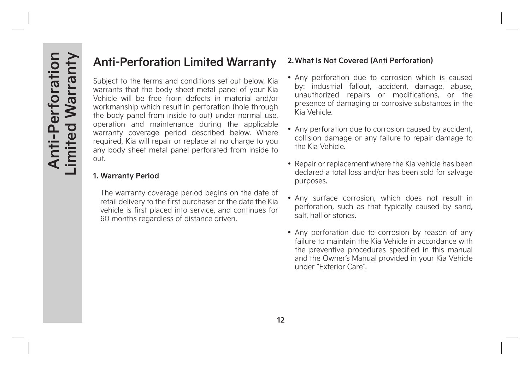## **Anti-Perforation Limited Warranty**

Subject to the terms and conditions set out below, Kia warrants that the body sheet metal panel of your Kia Vehicle will be free from defects in material and/or workmanship which result in perforation (hole through the body panel from inside to out) under normal use, operation and maintenance during the applicable warranty coverage period described below. Where required, Kia will repair or replace at no charge to you any body sheet metal panel perforated from inside to out.

#### **1. Warranty Period**

The warranty coverage period begins on the date of retail delivery to the first purchaser or the date the Kia vehicle is first placed into service, and continues for 60 months regardless of distance driven.

#### **2. What Is Not Covered (Anti Perforation)**

- Any perforation due to corrosion which is caused by: industrial fallout, accident, damage, abuse, unauthorized repairs or modifications, or the presence of damaging or corrosive substances in the Kia Vehicle.
- Any perforation due to corrosion caused by accident, collision damage or any failure to repair damage to the Kia Vehicle.
- Repair or replacement where the Kia vehicle has been declared a total loss and/or has been sold for salvage purposes.
- Any surface corrosion, which does not result in perforation, such as that typically caused by sand, salt, hall or stones.
- Any perforation due to corrosion by reason of any failure to maintain the Kia Vehicle in accordance with the preventive procedures specified in this manual and the Owner's Manual provided in your Kia Vehicle under "Exterior Care".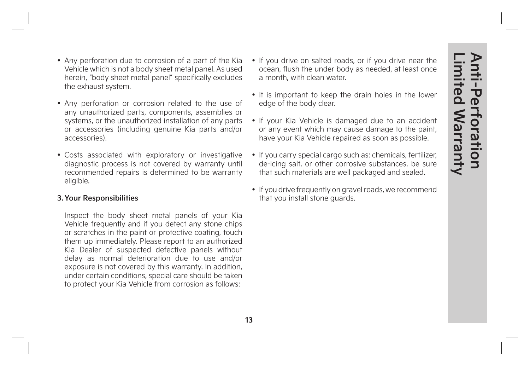- Any perforation due to corrosion of a part of the Kia Vehicle which is not a body sheet metal panel. As used herein, "body sheet metal panel" specifically excludes the exhaust system.
- Any perforation or corrosion related to the use of any unauthorized parts, components, assemblies or systems, or the unauthorized installation of any parts or accessories (including genuine Kia parts and/or accessories).
- Costs associated with exploratory or investigative diagnostic process is not covered by warranty until recommended repairs is determined to be warranty eligible.

#### **3. Your Responsibilities**

Inspect the body sheet metal panels of your Kia Vehicle frequently and if you detect any stone chips or scratches in the paint or protective coating, touch them up immediately. Please report to an authorized Kia Dealer of suspected defective panels without delay as normal deterioration due to use and/or exposure is not covered by this warranty. In addition, under certain conditions, special care should be taken to protect your Kia Vehicle from corrosion as follows:

- If you drive on salted roads, or if you drive near the ocean, flush the under body as needed, at least once a month, with clean water.
- It is important to keep the drain holes in the lower edge of the body clear.
- If your Kia Vehicle is damaged due to an accident or any event which may cause damage to the paint, have your Kia Vehicle repaired as soon as possible.
- If you carry special cargo such as: chemicals, fertilizer, de-icing salt, or other corrosive substances, be sure that such materials are well packaged and sealed.
- If you drive frequently on gravel roads, we recommend that you install stone guards.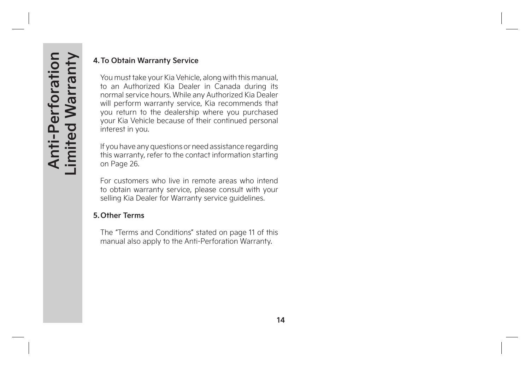#### **4. To Obtain Warranty Service**

You must take your Kia Vehicle, along with this manual, to an Authorized Kia Dealer in Canada during its normal service hours. While any Authorized Kia Dealer will perform warranty service, Kia recommends that you return to the dealership where you purchased your Kia Vehicle because of their continued personal interest in you.

If you have any questions or need assistance regarding this warranty, refer to the contact information starting on Page 26.

For customers who live in remote areas who intend to obtain warranty service, please consult with your selling Kia Dealer for Warranty service guidelines.

#### **5. Other Terms**

The "Terms and Conditions" stated on page 11 of this manual also apply to the Anti-Perforation Warranty.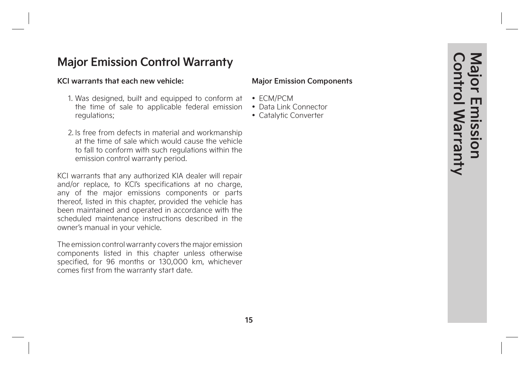## **Major Emission Control Warranty**

#### **KCI warrants that each new vehicle:**

- 1. Was designed, built and equipped to conform at ECM/PCM the time of sale to applicable federal emission • Data Link Connector regulations;
- 2. Is free from defects in material and workmanship at the time of sale which would cause the vehicle to fall to conform with such regulations within the emission control warranty period .

KCI warrants that any authorized KIA dealer will repair and/or replace, to KCl's specifications at no charge, any of the major emissions components or parts thereof, listed in this chapter, provided the vehicle has been maintained and operated in accordance with the scheduled maintenance instructions described in the owner's manual in your vehicle .

The emission control warranty covers the major emission components listed in this chapter unless otherwise specified, for 96 months or 130,000 km, whichever comes first from the warranty start date .

#### **Major Emission Components**

- 
- 
- Catalytic Converter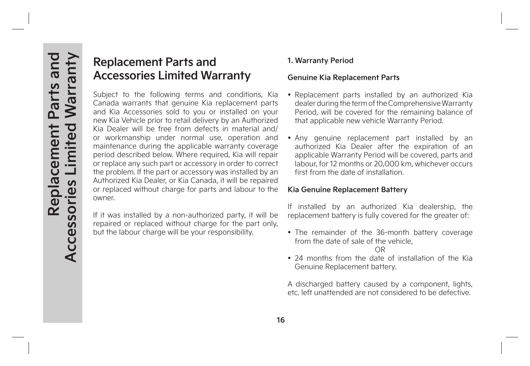## **Replacement Parts and Accessories Limited Warranty**

Subject to the following terms and conditions, Kia Canada warrants that genuine Kia replacement parts and Kia Accessories sold to you or installed on your new Kia Vehicle prior to retail delivery by an Authorized Kia Dealer will be free from defects in material and/ or workmanship under normal use, operation and maintenance during the applicable warranty coverage period described below. Where required, Kia will repair or replace any such part or accessory in order to correct the problem. If the part or accessory was installed by an Authorized Kia Dealer, or Kia Canada, it will be repaired or replaced without charge for parts and labour to the owner.

If it was installed by a non-authorized party, it will be repaired or replaced without charge for the part only, but the labour charge will be your responsibility.

#### **1. Warranty Period**

#### **Genuine Kia Replacement Parts**

- Replacement parts installed by an authorized Kia dealer during the term of the Comprehensive Warranty Period, will be covered for the remaining balance of that applicable new vehicle Warranty Period.
- Any genuine replacement part installed by an authorized Kia Dealer after the expiration of an applicable Warranty Period will be covered, parts and labour, for 12 months or 20,000 km, whichever occurs first from the date of installation.

#### **Kia Genuine Replacement Battery**

If installed by an authorized Kia dealership, the replacement battery is fully covered for the greater of:

• The remainder of the 36-month battery coverage from the date of sale of the vehicle,

OR

• 24 months from the date of installation of the Kia Genuine Replacement battery.

A discharged battery caused by a component, lights, etc. left unattended are not considered to be defective.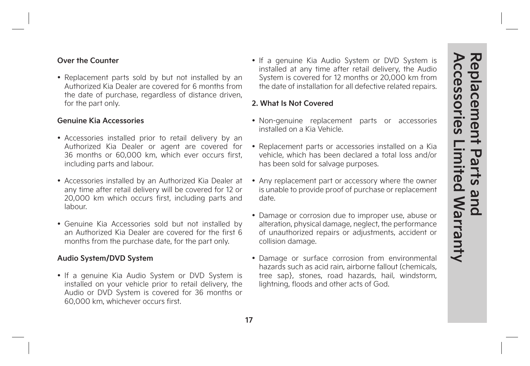#### **Over the Counter**

• Replacement parts sold by but not installed by an Authorized Kia Dealer are covered for 6 months from the date of purchase, regardless of distance driven, for the part only.

#### **Genuine Kia Accessories**

- Accessories installed prior to retail delivery by an Authorized Kia Dealer or agent are covered for 36 months or 60,000 km, which ever occurs first, including parts and labour.
- Accessories installed by an Authorized Kia Dealer at any time after retail delivery will be covered for 12 or 20,000 km which occurs first, including parts and labour.
- Genuine Kia Accessories sold but not installed by an Authorized Kia Dealer are covered for the first 6 months from the purchase date, for the part only.

#### **Audio System/DVD System**

• If a genuine Kia Audio System or DVD System is installed on your vehicle prior to retail delivery, the Audio or DVD System is covered for 36 months or 60,000 km, whichever occurs first.

• If a genuine Kia Audio System or DVD System is installed at any time after retail delivery, the Audio System is covered for 12 months or 20,000 km from the date of installation for all defective related repairs.

#### **2. What Is Not Covered**

- Non-genuine replacement parts or accessories installed on a Kia Vehicle.
- Replacement parts or accessories installed on a Kia vehicle, which has been declared a total loss and/or has been sold for salvage purposes.
- Any replacement part or accessory where the owner is unable to provide proof of purchase or replacement date.
- Damage or corrosion due to improper use, abuse or alteration, physical damage, neglect, the performance of unauthorized repairs or adjustments, accident or collision damage.
- Damage or surface corrosion from environmental hazards such as acid rain, airborne fallout (chemicals, tree sap}, stones, road hazards, hail, windstorm, lightning, floods and other acts of God.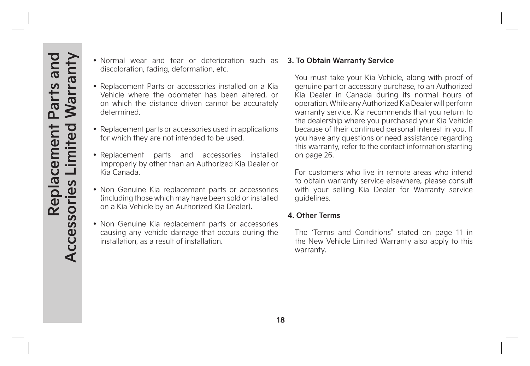- Normal wear and tear or deterioration such as **3. To Obtain Warranty Service** discoloration, fading, deformation, etc.
- Replacement Parts or accessories installed on a Kia Vehicle where the odometer has been altered, or on which the distance driven cannot be accurately determined.
- Replacement parts or accessories used in applications for which they are not intended to be used.
- Replacement parts and accessories installed improperly by other than an Authorized Kia Dealer or Kia Canada.
- Non Genuine Kia replacement parts or accessories (including those which may have been sold or installed on a Kia Vehicle by an Authorized Kia Dealer).
- Non Genuine Kia replacement parts or accessories causing any vehicle damage that occurs during the installation, as a result of installation.

You must take your Kia Vehicle, along with proof of genuine part or accessory purchase, to an Authorized Kia Dealer in Canada during its normal hours of operation. While any Authorized Kia Dealer will perform warranty service, Kia recommends that you return to the dealership where you purchased your Kia Vehicle because of their continued personal interest in you. If you have any questions or need assistance regarding this warranty, refer to the contact information starting on page 26.

For customers who live in remote areas who intend to obtain warranty service elsewhere, please consult with your selling Kia Dealer for Warranty service guidelines.

#### **4. Other Terms**

The 'Terms and Conditions" stated on page 11 in the New Vehicle Limited Warranty also apply to this warranty.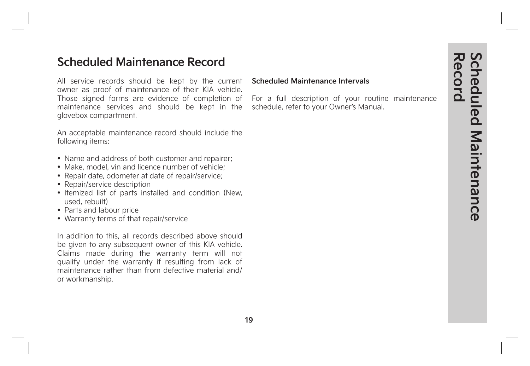## **Scheduled Maintenance Record**

All service records should be kept by the current owner as proof of maintenance of their KIA vehicle. Those signed forms are evidence of completion of maintenance services and should be kept in the glovebox compartment.

An acceptable maintenance record should include the following items:

- Name and address of both customer and repairer;
- Make, model, vin and licence number of vehicle:
- Repair date, odometer at date of repair/service;
- Repair/service description
- Itemized list of parts installed and condition (New, used, rebuilt)
- Parts and labour price
- Warranty terms of that repair/service

In addition to this, all records described above should be given to any subsequent owner of this KIA vehicle. Claims made during the warranty term will not qualify under the warranty if resulting from lack of maintenance rather than from defective material and/ or workmanship.

#### **Scheduled Maintenance Intervals**

For a full description of your routine maintenance schedule, refer to your Owner's Manual.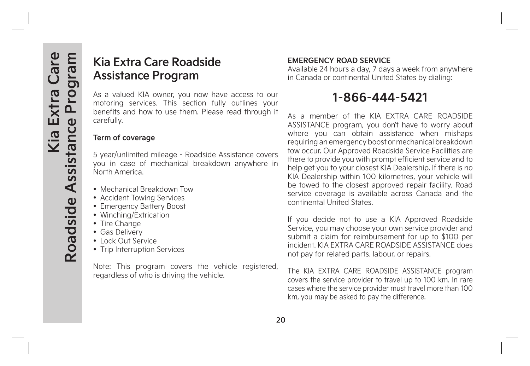## **Kia Extra Care Roadside Assistance Program**

As a valued KIA owner, you now have access to our motoring services. This section fully outlines your benefits and how to use them. Please read through it carefully.

#### **Term of coverage**

5 year/unlimited mileage - Roadside Assistance covers you in case of mechanical breakdown anywhere in North America.

- Mechanical Breakdown Tow
- Accident Towing Services
- Emergency Battery Boost
- Winching/Extrication
- Tire Change
- Gas Delivery
- Lock Out Service
- Trip Interruption Services

Note: This program covers the vehicle registered, regardless of who is driving the vehicle.

#### **EMERGENCY ROAD SERVICE**

Available 24 hours a day, 7 days a week from anywhere in Canada or continental United States by dialing:

## **1-866-444-5421**

As a member of the KIA EXTRA CARE ROADSIDE ASSISTANCE program, you don't have to worry about where you can obtain assistance when mishaps requiring an emergency boost or mechanical breakdown tow occur. Our Approved Roadside Service Facilities are there to provide you with prompt efficient service and to help get you to your closest KIA Dealership. If there is no KIA Dealership within 100 kilometres, your vehicle will be towed to the closest approved repair facility. Road service coverage is available across Canada and the continental United States.

If you decide not to use a KIA Approved Roadside Service, you may choose your own service provider and submit a claim for reimbursement for up to \$100 per incident. KIA EXTRA CARE ROADSIDE ASSISTANCE does not pay for related parts. labour, or repairs.

The KIA EXTRA CARE ROADSIDE ASSISTANCE program covers the service provider to travel up to 100 km. In rare cases where the service provider must travel more than 100 km, you may be asked to pay the difference.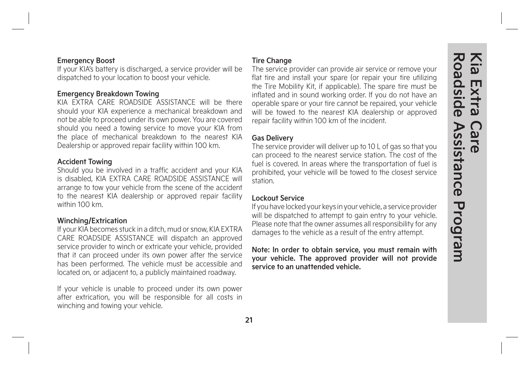#### **Emergency Boost**

If your KIA's battery is discharged, a service provider will be dispatched to your location to boost your vehicle.

#### **Emergency Breakdown Towing**

KIA EXTRA CARE ROADSIDE ASSISTANCE will be there should your KIA experience a mechanical breakdown and not be able to proceed under its own power. You are covered should you need a towing service to move your KIA from the place of mechanical breakdown to the nearest KIA Dealership or approved repair facility within 100 km.

#### **Accident Towing**

Should you be involved in a traffic accident and your KIA is disabled, KIA EXTRA CARE ROADSIDE ASSISTANCE will arrange to tow your vehicle from the scene of the accident to the nearest KIA dealership or approved repair facility within 100 km.

#### **Winching/Extrication**

If your KIA becomes stuck in a ditch, mud or snow, KIA EXTRA CARE ROADSIDE ASSISTANCE will dispatch an approved service provider to winch or extricate your vehicle, provided that it can proceed under its own power after the service has been performed. The vehicle must be accessible and located on, or adjacent to, a publicly maintained roadway.

If your vehicle is unable to proceed under its own power after extrication, you will be responsible for all costs in winching and towing your vehicle.

#### **Tire Change**

The service provider can provide air service or remove your flat tire and install your spare (or repair your tire utilizing the Tire Mobility Kit, if applicable). The spare tire must be inflated and in sound working order. If you do not have an operable spare or your tire cannot be repaired, your vehicle will be towed to the nearest KIA dealership or approved repair facility within 100 km of the incident.

#### **Gas Delivery**

The service provider will deliver up to 10 L of gas so that you can proceed to the nearest service station. The cost of the fuel is covered. In areas where the transportation of fuel is prohibited, your vehicle will be towed to the closest service station.

#### **Lockout Service**

If you have locked your keys in your vehicle, a service provider will be dispatched to attempt to gain entry to your vehicle. Please note that the owner assumes all responsibility for any damages to the vehicle as a result of the entry attempt.

**Note: In order to obtain service, you must remain with your vehicle. The approved provider will not provide service to an unattended vehicle.**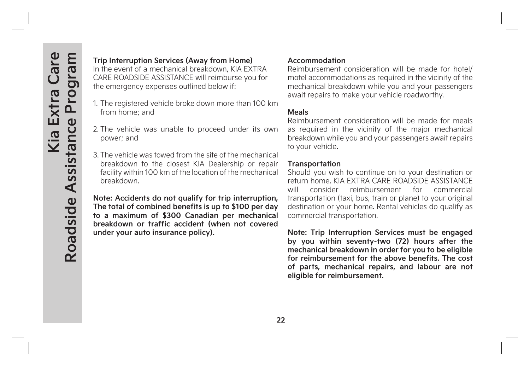#### **Trip Interruption Services (Away from Home)**

In the event of a mechanical breakdown, KIA EXTRA CARE ROADSIDE ASSISTANCE will reimburse you for the emergency expenses outlined below if:

- 1. The registered vehicle broke down more than 100 km from home; and
- 2. The vehicle was unable to proceed under its own power; and
- 3. The vehicle was towed from the site of the mechanical breakdown to the closest KIA Dealership or repair facility within 100 km of the location of the mechanical breakdown.

**Note: Accidents do not qualify for trip interruption, The total of combined benefits is up to \$100 per day to a maximum of \$300 Canadian per mechanical breakdown or traffic accident (when not covered under your auto insurance policy).**

#### **Accommodation**

Reimbursement consideration will be made for hotel/ motel accommodations as required in the vicinity of the mechanical breakdown while you and your passengers await repairs to make your vehicle roadworthy.

#### **Meals**

Reimbursement consideration will be made for meals as required in the vicinity of the major mechanical breakdown while you and your passengers await repairs to your vehicle.

#### **Transportation**

Should you wish to continue on to your destination or return home, KIA EXTRA CARE ROADSIDE ASSISTANCE will consider reimbursement for commercial transportation (taxi, bus, train or plane) to your original destination or your home. Rental vehicles do qualify as commercial transportation.

**Note: Trip Interruption Services must be engaged by you within seventy-two (72) hours after the mechanical breakdown in order for you to be eligible for reimbursement for the above benefits. The cost of parts, mechanical repairs, and labour are not eligible for reimbursement.**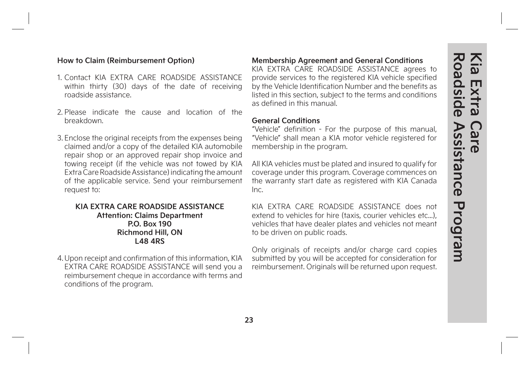#### **How to Claim (Reimbursement Option)**

- 1. Contact KIA EXTRA CARE ROADSIDE ASSISTANCE within thirty (30) days of the date of receiving roadside assistance.
- 2. Please indicate the cause and location of the breakdown.
- 3. Enclose the original receipts from the expenses being claimed and/or a copy of the detailed KIA automobile repair shop or an approved repair shop invoice and towing receipt (if the vehicle was not towed by KIA Extra Care Roadside Assistance) indicating the amount of the applicable service. Send your reimbursement request to:

#### **KIA EXTRA CARE ROADSIDE ASSISTANCE Attention: Claims Department P.O. Box 190 Richmond Hill, ON L48 4RS**

4. Upon receipt and confirmation of this information, KIA EXTRA CARE ROADSIDE ASSISTANCE will send you a reimbursement cheque in accordance with terms and conditions of the program.

#### **Membership Agreement and General Conditions**

KIA EXTRA CARE ROADSIDE ASSISTANCE agrees to provide services to the registered KIA vehicle specified by the Vehicle Identification Number and the benefits as listed in this section, subject to the terms and conditions as defined in this manual.

#### **General Conditions**

"Vehicle" definition - For the purpose of this manual, "Vehicle" shall mean a KIA motor vehicle registered for membership in the program.

All KIA vehicles must be plated and insured to qualify for coverage under this program. Coverage commences on the warranty start date as registered with KIA Canada Inc.

KIA EXTRA CARE ROADSIDE ASSISTANCE does not extend to vehicles for hire (taxis, courier vehicles etc...), vehicles that have dealer plates and vehicles not meant to be driven on public roads.

Only originals of receipts and/or charge card copies submitted by you will be accepted for consideration for reimbursement. Originals will be returned upon request.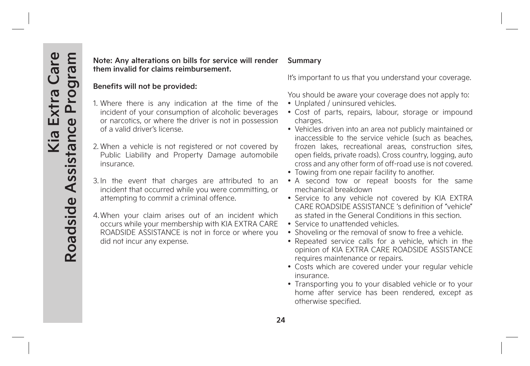#### **Note: Any alterations on bills for service will render them invalid for claims reimbursement.**

#### **Benefits will not be provided:**

- 1. Where there is any indication at the time of the incident of your consumption of alcoholic beverages or narcotics, or where the driver is not in possession of a valid driver's license.
- 2. When a vehicle is not registered or not covered by Public Liability and Property Damage automobile insurance.
- 3. In the event that charges are attributed to an incident that occurred while you were committing, or attempting to commit a criminal offence.
- 4. When your claim arises out of an incident which occurs while your membership with KIA EXTRA CARE ROADSIDE ASSISTANCE is not in force or where you did not incur any expense.

#### **Summary**

It's important to us that you understand your coverage.

You should be aware your coverage does not apply to:

- Unplated / uninsured vehicles.
- Cost of parts, repairs, labour, storage or impound charges.
- Vehicles driven into an area not publicly maintained or inaccessible to the service vehicle (such as beaches, frozen lakes, recreational areas, construction sites, open fields, private roads). Cross country, logging, auto cross and any other form of off-road use is not covered.
- Towing from one repair facility to another.
- A second tow or repeat boosts for the same mechanical breakdown
- Service to any vehicle not covered by KIA EXTRA CARE ROADSIDE ASSISTANCE 's definition of "vehicle" as stated in the General Conditions in this section.
- Service to unattended vehicles.
- Shoveling or the removal of snow to free a vehicle.
- Repeated service calls for a vehicle, which in the opinion of KIA EXTRA CARE ROADSIDE ASSISTANCE requires maintenance or repairs.
- Costs which are covered under your regular vehicle insurance.
- Transporting you to your disabled vehicle or to your home after service has been rendered, except as otherwise specified.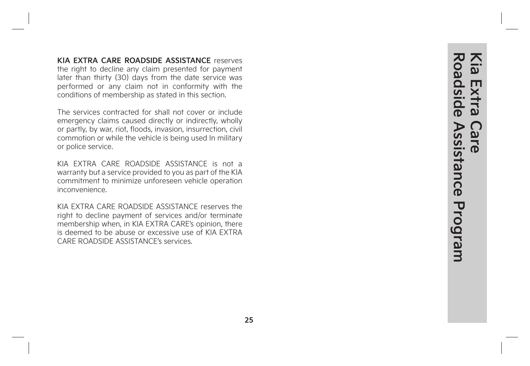**KIA EXTRA CARE ROADSIDE ASSISTANCE** reserves the right to decline any claim presented for payment later than thirty (30) days from the date service was performed or any claim not in conformity with the conditions of membership as stated in this section .

The services contracted for shall not cover or include emergency claims caused directly or indirectly, wholly or partly, by war, riot, floods, invasion, insurrection, civil commotion or while the vehicle is being used In military or police service .

KIA EXTRA CARE ROADSIDE ASSISTANCE is not a warranty but a service provided to you as part of the KIA commitment to minimize unforeseen vehicle operation inconvenience .

KIA EXTRA CARE ROADSIDE ASSISTANCE reserves the right to decline payment of services and/or terminate membership when, in KIA EXTRA CARE's opinion, there is deemed to be abuse or excessive use of KIA EXTRA CARE ROADSIDE ASSISTANCE's services .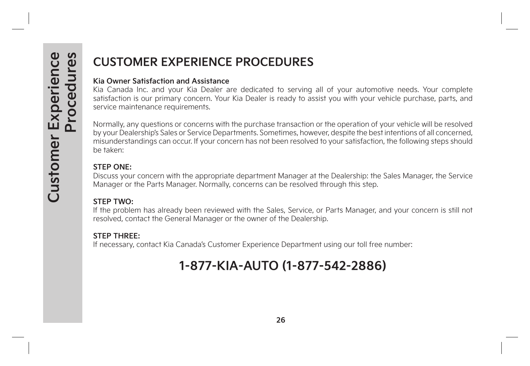## **CUSTOMER EXPERIENCE PROCEDURES**

#### **Kia Owner Satisfaction and Assistance**

Kia Canada Inc. and your Kia Dealer are dedicated to serving all of your automotive needs. Your complete satisfaction is our primary concern. Your Kia Dealer is ready to assist you with your vehicle purchase, parts, and service maintenance requirements.

Normally, any questions or concerns with the purchase transaction or the operation of your vehicle will be resolved by your Dealership's Sales or Service Departments. Sometimes, however, despite the best intentions of all concerned, misunderstandings can occur. If your concern has not been resolved to your satisfaction, the following steps should be taken:

#### **STEP ONE:**

Discuss your concern with the appropriate department Manager at the Dealership: the Sales Manager, the Service Manager or the Parts Manager. Normally, concerns can be resolved through this step.

### **STEP TWO:**

If the problem has already been reviewed with the Sales, Service, or Parts Manager, and your concern is still not resolved, contact the General Manager or the owner of the Dealership.

#### **STEP THREE:**

If necessary, contact Kia Canada's Customer Experience Department using our toll free number:

## **1-877-KIA-AUTO (1-877-542-2886)**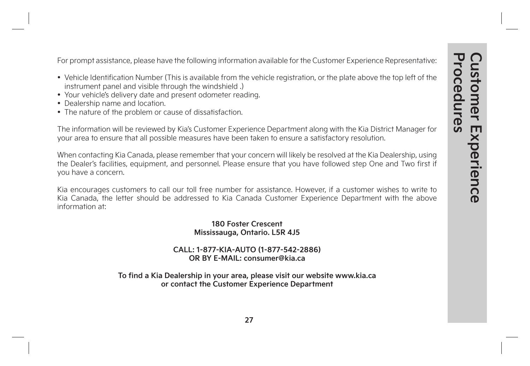For prompt assistance, please have the following information available for the Customer Experience Representative:

- Vehicle Identification Number (This is available from the vehicle registration, or the plate above the top left of the instrument panel and visible through the windshield .)
- Your vehicle's delivery date and present odometer reading.
- Dealership name and location.
- The nature of the problem or cause of dissatisfaction.

The information will be reviewed by Kia's Customer Experience Department along with the Kia District Manager for your area to ensure that all possible measures have been taken to ensure a satisfactory resolution.

When contacting Kia Canada, please remember that your concern will likely be resolved at the Kia Dealership, using the Dealer's facilities, equipment, and personnel. Please ensure that you have followed step One and Two first if you have a concern.

Kia encourages customers to call our toll free number for assistance. However, if a customer wishes to write to Kia Canada, the letter should be addressed to Kia Canada Customer Experience Department with the above information at:

> **180 Foster Crescent Mississauga, Ontario. L5R 4J5**

#### **CALL: 1-877-KIA-AUTO (1-877-542-2886) OR BY E-MAIL: consumer@kia.ca**

**To find a Kia Dealership in your area, please visit our website www.kia.ca or contact the Customer Experience Department**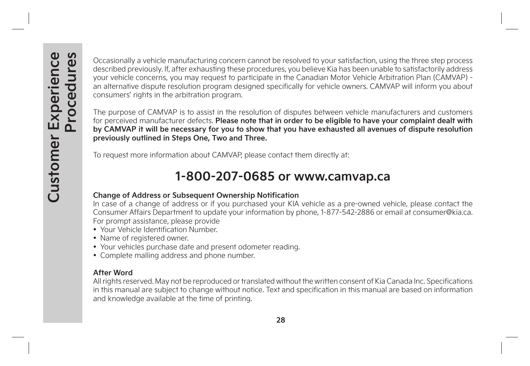Occasionally a vehicle manufacturing concern cannot be resolved to your satisfaction, using the three step process described previously. If, after exhausting these procedures, you believe Kia has been unable to satisfactorily address your vehicle concerns, you may request to participate in the Canadian Motor Vehicle Arbitration Plan (CAMVAP) an alternative dispute resolution program designed specifically for vehicle owners. CAMVAP will inform you about consumers' rights in the arbitration program.

The purpose of CAMVAP is to assist in the resolution of disputes between vehicle manufacturers and customers for perceived manufacturer defects. **Please note that in order to be eligible to have your complaint dealt with by CAMVAP it will be necessary for you to show that you have exhausted all avenues of dispute resolution previously outlined in Steps One, Two and Three.**

To request more information about CAMVAP, please contact them directly at:

## **1-800-207-0685 or www.camvap.ca**

#### **Change of Address or Subsequent Ownership Notification**

In case of a change of address or if you purchased your KIA vehicle as a pre-owned vehicle, please contact the Consumer Affairs Department to update your information by phone, 1-877-542-2886 or email at consumer@kia.ca. For prompt assistance, please provide

- Your Vehicle Identification Number.
- Name of registered owner.
- Your vehicles purchase date and present odometer reading.
- Complete malling address and phone number.

#### **After Word**

All rights reserved. May not be reproduced or translated without the written consent of Kia Canada Inc. Specifications in this manual are subject to change without notice. Text and specification in this manual are based on information and knowledge available at the time of printing.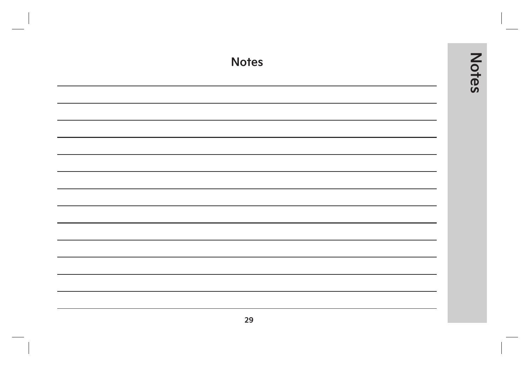| <b>Notes</b> | <b>Notes</b> |
|--------------|--------------|
|              |              |
|              |              |
|              |              |
|              |              |
|              |              |
|              |              |
|              |              |
|              |              |
|              |              |
|              |              |

 $\overline{\phantom{a}}$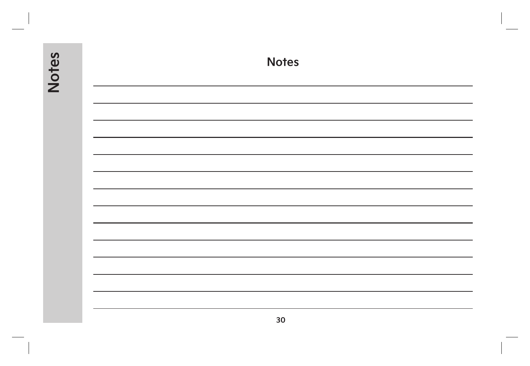| <b>SAICN</b> | <b>Notes</b> |
|--------------|--------------|
|              |              |
|              |              |
|              |              |
|              |              |
|              |              |
|              |              |
|              |              |
|              |              |
|              |              |
|              |              |
|              |              |
|              |              |
|              |              |
|              |              |

**Notes**